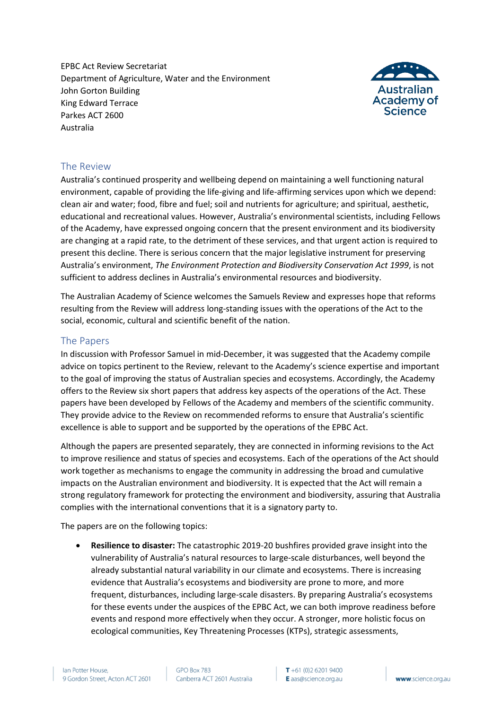EPBC Act Review Secretariat Department of Agriculture, Water and the Environment John Gorton Building King Edward Terrace Parkes ACT 2600 Australia



### The Review

Australia's continued prosperity and wellbeing depend on maintaining a well functioning natural environment, capable of providing the life-giving and life-affirming services upon which we depend: clean air and water; food, fibre and fuel; soil and nutrients for agriculture; and spiritual, aesthetic, educational and recreational values. However, Australia's environmental scientists, including Fellows of the Academy, have expressed ongoing concern that the present environment and its biodiversity are changing at a rapid rate, to the detriment of these services, and that urgent action is required to present this decline. There is serious concern that the major legislative instrument for preserving Australia's environment, *The Environment Protection and Biodiversity Conservation Act 1999*, is not sufficient to address declines in Australia's environmental resources and biodiversity.

The Australian Academy of Science welcomes the Samuels Review and expresses hope that reforms resulting from the Review will address long-standing issues with the operations of the Act to the social, economic, cultural and scientific benefit of the nation.

### The Papers

In discussion with Professor Samuel in mid-December, it was suggested that the Academy compile advice on topics pertinent to the Review, relevant to the Academy's science expertise and important to the goal of improving the status of Australian species and ecosystems. Accordingly, the Academy offers to the Review six short papers that address key aspects of the operations of the Act. These papers have been developed by Fellows of the Academy and members of the scientific community. They provide advice to the Review on recommended reforms to ensure that Australia's scientific excellence is able to support and be supported by the operations of the EPBC Act.

Although the papers are presented separately, they are connected in informing revisions to the Act to improve resilience and status of species and ecosystems. Each of the operations of the Act should work together as mechanisms to engage the community in addressing the broad and cumulative impacts on the Australian environment and biodiversity. It is expected that the Act will remain a strong regulatory framework for protecting the environment and biodiversity, assuring that Australia complies with the international conventions that it is a signatory party to.

The papers are on the following topics:

• **Resilience to disaster:** The catastrophic 2019-20 bushfires provided grave insight into the vulnerability of Australia's natural resources to large-scale disturbances, well beyond the already substantial natural variability in our climate and ecosystems. There is increasing evidence that Australia's ecosystems and biodiversity are prone to more, and more frequent, disturbances, including large-scale disasters. By preparing Australia's ecosystems for these events under the auspices of the EPBC Act, we can both improve readiness before events and respond more effectively when they occur. A stronger, more holistic focus on ecological communities, Key Threatening Processes (KTPs), strategic assessments,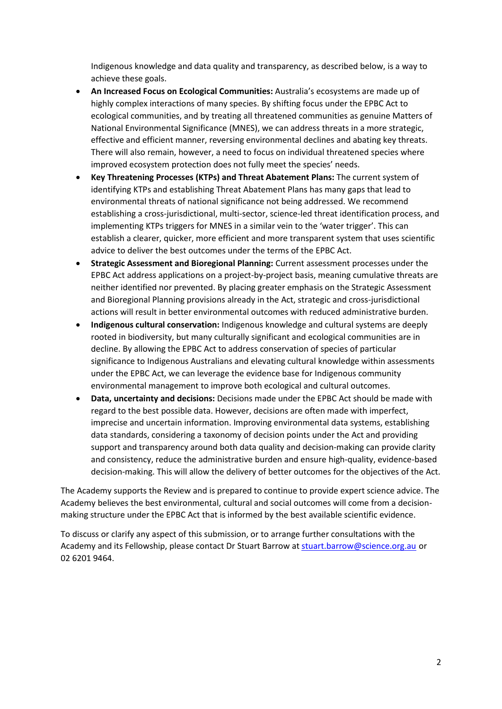Indigenous knowledge and data quality and transparency, as described below, is a way to achieve these goals.

- **An Increased Focus on Ecological Communities:** Australia's ecosystems are made up of highly complex interactions of many species. By shifting focus under the EPBC Act to ecological communities, and by treating all threatened communities as genuine Matters of National Environmental Significance (MNES), we can address threats in a more strategic, effective and efficient manner, reversing environmental declines and abating key threats. There will also remain, however, a need to focus on individual threatened species where improved ecosystem protection does not fully meet the species' needs.
- **Key Threatening Processes (KTPs) and Threat Abatement Plans:** The current system of identifying KTPs and establishing Threat Abatement Plans has many gaps that lead to environmental threats of national significance not being addressed. We recommend establishing a cross-jurisdictional, multi-sector, science-led threat identification process, and implementing KTPs triggers for MNES in a similar vein to the 'water trigger'. This can establish a clearer, quicker, more efficient and more transparent system that uses scientific advice to deliver the best outcomes under the terms of the EPBC Act.
- **Strategic Assessment and Bioregional Planning:** Current assessment processes under the EPBC Act address applications on a project-by-project basis, meaning cumulative threats are neither identified nor prevented. By placing greater emphasis on the Strategic Assessment and Bioregional Planning provisions already in the Act, strategic and cross-jurisdictional actions will result in better environmental outcomes with reduced administrative burden.
- **Indigenous cultural conservation:** Indigenous knowledge and cultural systems are deeply rooted in biodiversity, but many culturally significant and ecological communities are in decline. By allowing the EPBC Act to address conservation of species of particular significance to Indigenous Australians and elevating cultural knowledge within assessments under the EPBC Act, we can leverage the evidence base for Indigenous community environmental management to improve both ecological and cultural outcomes.
- **Data, uncertainty and decisions:** Decisions made under the EPBC Act should be made with regard to the best possible data. However, decisions are often made with imperfect, imprecise and uncertain information. Improving environmental data systems, establishing data standards, considering a taxonomy of decision points under the Act and providing support and transparency around both data quality and decision-making can provide clarity and consistency, reduce the administrative burden and ensure high-quality, evidence-based decision-making. This will allow the delivery of better outcomes for the objectives of the Act.

The Academy supports the Review and is prepared to continue to provide expert science advice. The Academy believes the best environmental, cultural and social outcomes will come from a decisionmaking structure under the EPBC Act that is informed by the best available scientific evidence.

To discuss or clarify any aspect of this submission, or to arrange further consultations with the Academy and its Fellowship, please contact Dr Stuart Barrow at [stuart.barrow@science.org.au](mailto:stuart.barrow@science.org.au) or 02 6201 9464.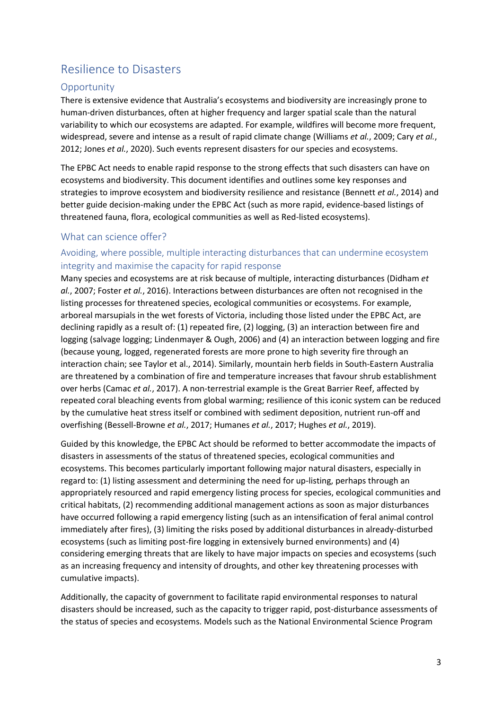# Resilience to Disasters

# **Opportunity**

There is extensive evidence that Australia's ecosystems and biodiversity are increasingly prone to human-driven disturbances, often at higher frequency and larger spatial scale than the natural variability to which our ecosystems are adapted. For example, wildfires will become more frequent, widespread, severe and intense as a result of rapid climate change (Williams *et al.*, 2009; Cary *et al.*, 2012; Jones *et al.*, 2020). Such events represent disasters for our species and ecosystems.

The EPBC Act needs to enable rapid response to the strong effects that such disasters can have on ecosystems and biodiversity. This document identifies and outlines some key responses and strategies to improve ecosystem and biodiversity resilience and resistance (Bennett *et al.*, 2014) and better guide decision-making under the EPBC Act (such as more rapid, evidence-based listings of threatened fauna, flora, ecological communities as well as Red-listed ecosystems).

### What can science offer?

# Avoiding, where possible, multiple interacting disturbances that can undermine ecosystem integrity and maximise the capacity for rapid response

Many species and ecosystems are at risk because of multiple, interacting disturbances (Didham *et al.*, 2007; Foster *et al.*, 2016). Interactions between disturbances are often not recognised in the listing processes for threatened species, ecological communities or ecosystems. For example, arboreal marsupials in the wet forests of Victoria, including those listed under the EPBC Act, are declining rapidly as a result of: (1) repeated fire, (2) logging, (3) an interaction between fire and logging (salvage logging; Lindenmayer & Ough, 2006) and (4) an interaction between logging and fire (because young, logged, regenerated forests are more prone to high severity fire through an interaction chain; see Taylor et al., 2014). Similarly, mountain herb fields in South-Eastern Australia are threatened by a combination of fire and temperature increases that favour shrub establishment over herbs (Camac *et al.*, 2017). A non-terrestrial example is the Great Barrier Reef, affected by repeated coral bleaching events from global warming; resilience of this iconic system can be reduced by the cumulative heat stress itself or combined with sediment deposition, nutrient run-off and overfishing (Bessell-Browne *et al.*, 2017; Humanes *et al.*, 2017; Hughes *et al.*, 2019).

Guided by this knowledge, the EPBC Act should be reformed to better accommodate the impacts of disasters in assessments of the status of threatened species, ecological communities and ecosystems. This becomes particularly important following major natural disasters, especially in regard to: (1) listing assessment and determining the need for up-listing, perhaps through an appropriately resourced and rapid emergency listing process for species, ecological communities and critical habitats, (2) recommending additional management actions as soon as major disturbances have occurred following a rapid emergency listing (such as an intensification of feral animal control immediately after fires), (3) limiting the risks posed by additional disturbances in already-disturbed ecosystems (such as limiting post-fire logging in extensively burned environments) and (4) considering emerging threats that are likely to have major impacts on species and ecosystems (such as an increasing frequency and intensity of droughts, and other key threatening processes with cumulative impacts).

Additionally, the capacity of government to facilitate rapid environmental responses to natural disasters should be increased, such as the capacity to trigger rapid, post-disturbance assessments of the status of species and ecosystems. Models such as the National Environmental Science Program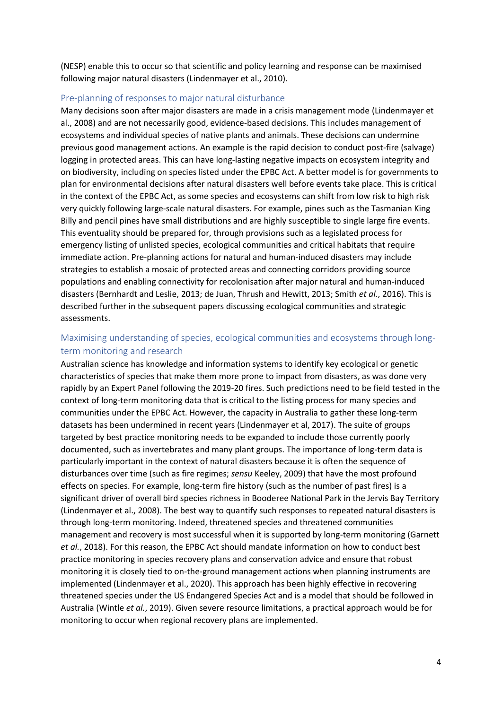(NESP) enable this to occur so that scientific and policy learning and response can be maximised following major natural disasters (Lindenmayer et al., 2010).

#### Pre-planning of responses to major natural disturbance

Many decisions soon after major disasters are made in a crisis management mode (Lindenmayer et al., 2008) and are not necessarily good, evidence-based decisions. This includes management of ecosystems and individual species of native plants and animals. These decisions can undermine previous good management actions. An example is the rapid decision to conduct post-fire (salvage) logging in protected areas. This can have long-lasting negative impacts on ecosystem integrity and on biodiversity, including on species listed under the EPBC Act. A better model is for governments to plan for environmental decisions after natural disasters well before events take place. This is critical in the context of the EPBC Act, as some species and ecosystems can shift from low risk to high risk very quickly following large-scale natural disasters. For example, pines such as the Tasmanian King Billy and pencil pines have small distributions and are highly susceptible to single large fire events. This eventuality should be prepared for, through provisions such as a legislated process for emergency listing of unlisted species, ecological communities and critical habitats that require immediate action. Pre-planning actions for natural and human-induced disasters may include strategies to establish a mosaic of protected areas and connecting corridors providing source populations and enabling connectivity for recolonisation after major natural and human-induced disasters (Bernhardt and Leslie, 2013; de Juan, Thrush and Hewitt, 2013; Smith *et al.*, 2016). This is described further in the subsequent papers discussing ecological communities and strategic assessments.

# Maximising understanding of species, ecological communities and ecosystems through longterm monitoring and research

Australian science has knowledge and information systems to identify key ecological or genetic characteristics of species that make them more prone to impact from disasters, as was done very rapidly by an Expert Panel following the 2019-20 fires. Such predictions need to be field tested in the context of long-term monitoring data that is critical to the listing process for many species and communities under the EPBC Act. However, the capacity in Australia to gather these long-term datasets has been undermined in recent years (Lindenmayer et al, 2017). The suite of groups targeted by best practice monitoring needs to be expanded to include those currently poorly documented, such as invertebrates and many plant groups. The importance of long-term data is particularly important in the context of natural disasters because it is often the sequence of disturbances over time (such as fire regimes; *sensu* Keeley, 2009) that have the most profound effects on species. For example, long-term fire history (such as the number of past fires) is a significant driver of overall bird species richness in Booderee National Park in the Jervis Bay Territory (Lindenmayer et al., 2008). The best way to quantify such responses to repeated natural disasters is through long-term monitoring. Indeed, threatened species and threatened communities management and recovery is most successful when it is supported by long-term monitoring (Garnett *et al.*, 2018). For this reason, the EPBC Act should mandate information on how to conduct best practice monitoring in species recovery plans and conservation advice and ensure that robust monitoring it is closely tied to on-the-ground management actions when planning instruments are implemented (Lindenmayer et al., 2020). This approach has been highly effective in recovering threatened species under the US Endangered Species Act and is a model that should be followed in Australia (Wintle *et al.*, 2019). Given severe resource limitations, a practical approach would be for monitoring to occur when regional recovery plans are implemented.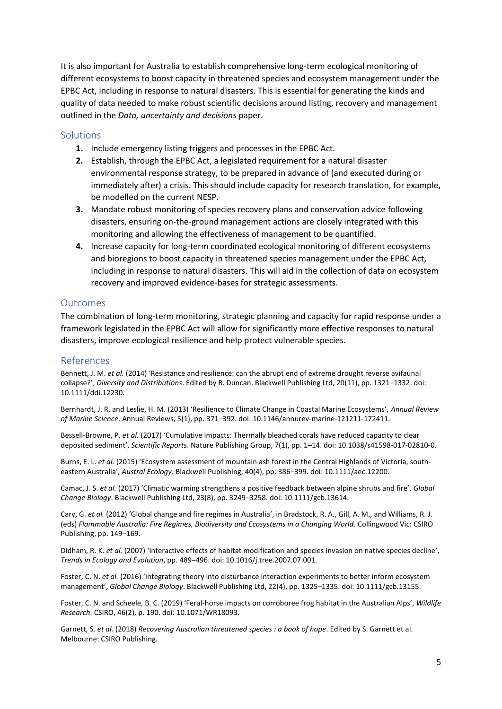It is also important for Australia to establish comprehensive long-term ecological monitoring of different ecosystems to boost capacity in threatened species and ecosystem management under the EPBC Act, including in response to natural disasters. This is essential for generating the kinds and quality of data needed to make robust scientific decisions around listing, recovery and management outlined in the *Data, uncertainty and decisions* paper.

#### **Solutions**

- **1.** Include emergency listing triggers and processes in the EPBC Act.
- **2.** Establish, through the EPBC Act, a legislated requirement for a natural disaster environmental response strategy, to be prepared in advance of (and executed during or immediately after) a crisis. This should include capacity for research translation, for example, be modelled on the current NESP.
- **3.** Mandate robust monitoring of species recovery plans and conservation advice following disasters, ensuring on-the-ground management actions are closely integrated with this monitoring and allowing the effectiveness of management to be quantified.
- **4.** Increase capacity for long-term coordinated ecological monitoring of different ecosystems and bioregions to boost capacity in threatened species management under the EPBC Act, including in response to natural disasters. This will aid in the collection of data on ecosystem recovery and improved evidence-bases for strategic assessments.

#### **Outcomes**

The combination of long-term monitoring, strategic planning and capacity for rapid response under a framework legislated in the EPBC Act will allow for significantly more effective responses to natural disasters, improve ecological resilience and help protect vulnerable species.

### References

Bennett, J. M. *et al.* (2014) 'Resistance and resilience: can the abrupt end of extreme drought reverse avifaunal collapse?', *Diversity and Distributions*. Edited by R. Duncan. Blackwell Publishing Ltd, 20(11), pp. 1321–1332. doi: 10.1111/ddi.12230.

Bernhardt, J. R. and Leslie, H. M. (2013) 'Resilience to Climate Change in Coastal Marine Ecosystems', *Annual Review of Marine Science*. Annual Reviews, 5(1), pp. 371–392. doi: 10.1146/annurev-marine-121211-172411.

Bessell-Browne, P. *et al.* (2017) 'Cumulative impacts: Thermally bleached corals have reduced capacity to clear deposited sediment', *Scientific Reports*. Nature Publishing Group, 7(1), pp. 1–14. doi: 10.1038/s41598-017-02810-0.

Burns, E. L. *et al.* (2015) 'Ecosystem assessment of mountain ash forest in the Central Highlands of Victoria, southeastern Australia', *Austral Ecology*. Blackwell Publishing, 40(4), pp. 386–399. doi: 10.1111/aec.12200.

Camac, J. S. *et al.* (2017) 'Climatic warming strengthens a positive feedback between alpine shrubs and fire', *Global Change Biology*. Blackwell Publishing Ltd, 23(8), pp. 3249–3258. doi: 10.1111/gcb.13614.

Cary, G. *et al.* (2012) 'Global change and fire regimes in Australia', in Bradstock, R. A., Gill, A. M., and Williams, R. J. (eds) *Flammable Australia: Fire Regimes, Biodiversity and Ecosystems in a Changing World*. Collingwood Vic: CSIRO Publishing, pp. 149–169.

Didham, R. K. *et al.* (2007) 'Interactive effects of habitat modification and species invasion on native species decline', *Trends in Ecology and Evolution*, pp. 489–496. doi: 10.1016/j.tree.2007.07.001.

Foster, C. N. *et al.* (2016) 'Integrating theory into disturbance interaction experiments to better inform ecosystem management', *Global Change Biology*. Blackwell Publishing Ltd, 22(4), pp. 1325–1335. doi: 10.1111/gcb.13155.

Foster, C. N. and Scheele, B. C. (2019) 'Feral-horse impacts on corroboree frog habitat in the Australian Alps', *Wildlife Research*. CSIRO, 46(2), p. 190. doi: 10.1071/WR18093.

Garnett, S. *et al.* (2018) *Recovering Australian threatened species : a book of hope*. Edited by S. Garnett et al. Melbourne: CSIRO Publishing.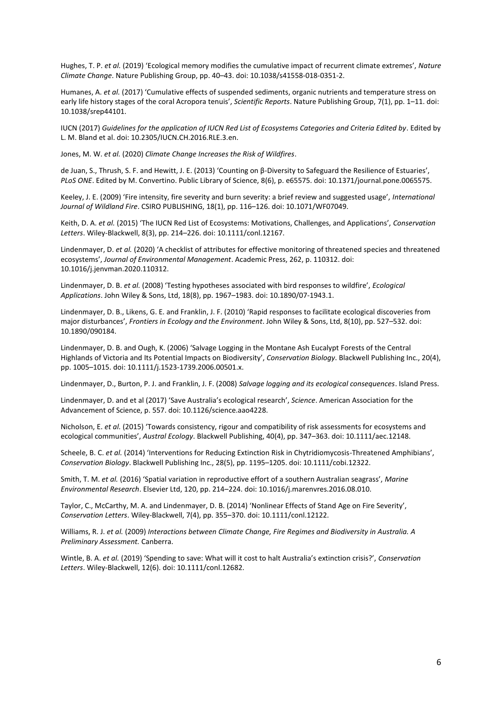Hughes, T. P. *et al.* (2019) 'Ecological memory modifies the cumulative impact of recurrent climate extremes', *Nature Climate Change*. Nature Publishing Group, pp. 40–43. doi: 10.1038/s41558-018-0351-2.

Humanes, A. *et al.* (2017) 'Cumulative effects of suspended sediments, organic nutrients and temperature stress on early life history stages of the coral Acropora tenuis', *Scientific Reports*. Nature Publishing Group, 7(1), pp. 1–11. doi: 10.1038/srep44101.

IUCN (2017) *Guidelines for the application of IUCN Red List of Ecosystems Categories and Criteria Edited by*. Edited by L. M. Bland et al. doi: 10.2305/IUCN.CH.2016.RLE.3.en.

Jones, M. W. *et al.* (2020) *Climate Change Increases the Risk of Wildfires*.

de Juan, S., Thrush, S. F. and Hewitt, J. E. (2013) 'Counting on β-Diversity to Safeguard the Resilience of Estuaries', *PLoS ONE*. Edited by M. Convertino. Public Library of Science, 8(6), p. e65575. doi: 10.1371/journal.pone.0065575.

Keeley, J. E. (2009) 'Fire intensity, fire severity and burn severity: a brief review and suggested usage', *International Journal of Wildland Fire*. CSIRO PUBLISHING, 18(1), pp. 116–126. doi: 10.1071/WF07049.

Keith, D. A. *et al.* (2015) 'The IUCN Red List of Ecosystems: Motivations, Challenges, and Applications', *Conservation Letters*. Wiley-Blackwell, 8(3), pp. 214–226. doi: 10.1111/conl.12167.

Lindenmayer, D. *et al.* (2020) 'A checklist of attributes for effective monitoring of threatened species and threatened ecosystems', *Journal of Environmental Management*. Academic Press, 262, p. 110312. doi: 10.1016/j.jenvman.2020.110312.

Lindenmayer, D. B. *et al.* (2008) 'Testing hypotheses associated with bird responses to wildfire', *Ecological Applications*. John Wiley & Sons, Ltd, 18(8), pp. 1967–1983. doi: 10.1890/07-1943.1.

Lindenmayer, D. B., Likens, G. E. and Franklin, J. F. (2010) 'Rapid responses to facilitate ecological discoveries from major disturbances', *Frontiers in Ecology and the Environment*. John Wiley & Sons, Ltd, 8(10), pp. 527–532. doi: 10.1890/090184.

Lindenmayer, D. B. and Ough, K. (2006) 'Salvage Logging in the Montane Ash Eucalypt Forests of the Central Highlands of Victoria and Its Potential Impacts on Biodiversity', *Conservation Biology*. Blackwell Publishing Inc., 20(4), pp. 1005–1015. doi: 10.1111/j.1523-1739.2006.00501.x.

Lindenmayer, D., Burton, P. J. and Franklin, J. F. (2008) *Salvage logging and its ecological consequences*. Island Press.

Lindenmayer, D. and et al (2017) 'Save Australia's ecological research', *Science*. American Association for the Advancement of Science, p. 557. doi: 10.1126/science.aao4228.

Nicholson, E. *et al.* (2015) 'Towards consistency, rigour and compatibility of risk assessments for ecosystems and ecological communities', *Austral Ecology*. Blackwell Publishing, 40(4), pp. 347–363. doi: 10.1111/aec.12148.

Scheele, B. C. *et al.* (2014) 'Interventions for Reducing Extinction Risk in Chytridiomycosis-Threatened Amphibians', *Conservation Biology*. Blackwell Publishing Inc., 28(5), pp. 1195–1205. doi: 10.1111/cobi.12322.

Smith, T. M. *et al.* (2016) 'Spatial variation in reproductive effort of a southern Australian seagrass', *Marine Environmental Research*. Elsevier Ltd, 120, pp. 214–224. doi: 10.1016/j.marenvres.2016.08.010.

Taylor, C., McCarthy, M. A. and Lindenmayer, D. B. (2014) 'Nonlinear Effects of Stand Age on Fire Severity', *Conservation Letters*. Wiley-Blackwell, 7(4), pp. 355–370. doi: 10.1111/conl.12122.

Williams, R. J. *et al.* (2009) *Interactions between Climate Change, Fire Regimes and Biodiversity in Australia. A Preliminary Assessment.* Canberra.

Wintle, B. A. *et al.* (2019) 'Spending to save: What will it cost to halt Australia's extinction crisis?', *Conservation Letters*. Wiley-Blackwell, 12(6). doi: 10.1111/conl.12682.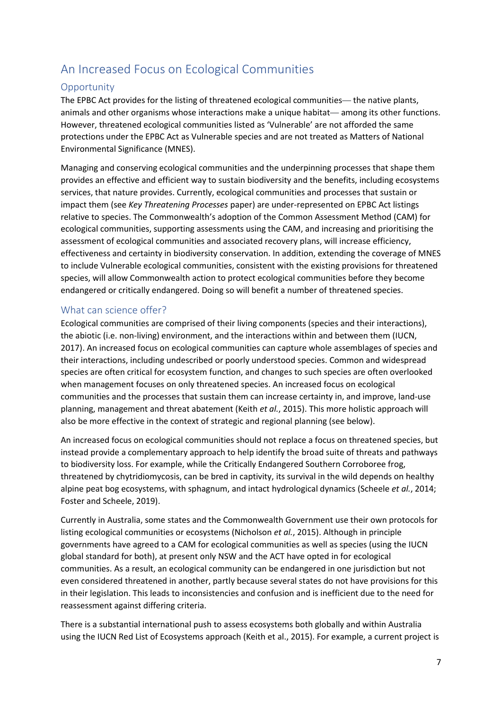# An Increased Focus on Ecological Communities

# **Opportunity**

The EPBC Act provides for the listing of threatened ecological communities— the native plants, animals and other organisms whose interactions make a unique habitat— among its other functions. However, threatened ecological communities listed as 'Vulnerable' are not afforded the same protections under the EPBC Act as Vulnerable species and are not treated as Matters of National Environmental Significance (MNES).

Managing and conserving ecological communities and the underpinning processes that shape them provides an effective and efficient way to sustain biodiversity and the benefits, including ecosystems services, that nature provides. Currently, ecological communities and processes that sustain or impact them (see *Key Threatening Processes* paper) are under-represented on EPBC Act listings relative to species. The Commonwealth's adoption of the Common Assessment Method (CAM) for ecological communities, supporting assessments using the CAM, and increasing and prioritising the assessment of ecological communities and associated recovery plans, will increase efficiency, effectiveness and certainty in biodiversity conservation. In addition, extending the coverage of MNES to include Vulnerable ecological communities, consistent with the existing provisions for threatened species, will allow Commonwealth action to protect ecological communities before they become endangered or critically endangered. Doing so will benefit a number of threatened species.

## What can science offer?

Ecological communities are comprised of their living components (species and their interactions), the abiotic (i.e. non-living) environment, and the interactions within and between them (IUCN, 2017). An increased focus on ecological communities can capture whole assemblages of species and their interactions, including undescribed or poorly understood species. Common and widespread species are often critical for ecosystem function, and changes to such species are often overlooked when management focuses on only threatened species. An increased focus on ecological communities and the processes that sustain them can increase certainty in, and improve, land-use planning, management and threat abatement (Keith *et al.*, 2015). This more holistic approach will also be more effective in the context of strategic and regional planning (see below).

An increased focus on ecological communities should not replace a focus on threatened species, but instead provide a complementary approach to help identify the broad suite of threats and pathways to biodiversity loss. For example, while the Critically Endangered Southern Corroboree frog, threatened by chytridiomycosis, can be bred in captivity, its survival in the wild depends on healthy alpine peat bog ecosystems, with sphagnum, and intact hydrological dynamics (Scheele *et al.*, 2014; Foster and Scheele, 2019).

Currently in Australia, some states and the Commonwealth Government use their own protocols for listing ecological communities or ecosystems (Nicholson *et al.*, 2015). Although in principle governments have agreed to a CAM for ecological communities as well as species (using the IUCN global standard for both), at present only NSW and the ACT have opted in for ecological communities. As a result, an ecological community can be endangered in one jurisdiction but not even considered threatened in another, partly because several states do not have provisions for this in their legislation. This leads to inconsistencies and confusion and is inefficient due to the need for reassessment against differing criteria.

There is a substantial international push to assess ecosystems both globally and within Australia using the IUCN Red List of Ecosystems approach (Keith et al., 2015). For example, a current project is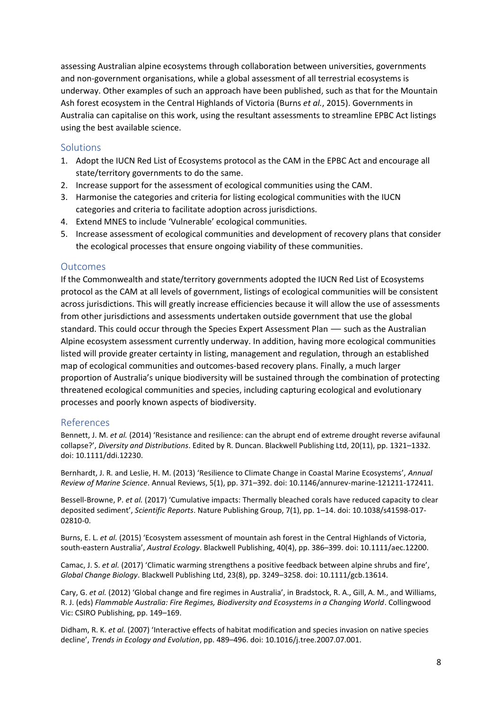assessing Australian alpine ecosystems through collaboration between universities, governments and non-government organisations, while a global assessment of all terrestrial ecosystems is underway. Other examples of such an approach have been published, such as that for the Mountain Ash forest ecosystem in the Central Highlands of Victoria (Burns *et al.*, 2015). Governments in Australia can capitalise on this work, using the resultant assessments to streamline EPBC Act listings using the best available science.

#### Solutions

- 1. Adopt the IUCN Red List of Ecosystems protocol as the CAM in the EPBC Act and encourage all state/territory governments to do the same.
- 2. Increase support for the assessment of ecological communities using the CAM.
- 3. Harmonise the categories and criteria for listing ecological communities with the IUCN categories and criteria to facilitate adoption across jurisdictions.
- 4. Extend MNES to include 'Vulnerable' ecological communities.
- 5. Increase assessment of ecological communities and development of recovery plans that consider the ecological processes that ensure ongoing viability of these communities.

#### **Outcomes**

If the Commonwealth and state/territory governments adopted the IUCN Red List of Ecosystems protocol as the CAM at all levels of government, listings of ecological communities will be consistent across jurisdictions. This will greatly increase efficiencies because it will allow the use of assessments from other jurisdictions and assessments undertaken outside government that use the global standard. This could occur through the Species Expert Assessment Plan — such as the Australian Alpine ecosystem assessment currently underway. In addition, having more ecological communities listed will provide greater certainty in listing, management and regulation, through an established map of ecological communities and outcomes-based recovery plans. Finally, a much larger proportion of Australia's unique biodiversity will be sustained through the combination of protecting threatened ecological communities and species, including capturing ecological and evolutionary processes and poorly known aspects of biodiversity.

### References

Bennett, J. M. *et al.* (2014) 'Resistance and resilience: can the abrupt end of extreme drought reverse avifaunal collapse?', *Diversity and Distributions*. Edited by R. Duncan. Blackwell Publishing Ltd, 20(11), pp. 1321–1332. doi: 10.1111/ddi.12230.

Bernhardt, J. R. and Leslie, H. M. (2013) 'Resilience to Climate Change in Coastal Marine Ecosystems', *Annual Review of Marine Science*. Annual Reviews, 5(1), pp. 371–392. doi: 10.1146/annurev-marine-121211-172411.

Bessell-Browne, P. *et al.* (2017) 'Cumulative impacts: Thermally bleached corals have reduced capacity to clear deposited sediment', *Scientific Reports*. Nature Publishing Group, 7(1), pp. 1–14. doi: 10.1038/s41598-017- 02810-0.

Burns, E. L. *et al.* (2015) 'Ecosystem assessment of mountain ash forest in the Central Highlands of Victoria, south-eastern Australia', *Austral Ecology*. Blackwell Publishing, 40(4), pp. 386–399. doi: 10.1111/aec.12200.

Camac, J. S. *et al.* (2017) 'Climatic warming strengthens a positive feedback between alpine shrubs and fire', *Global Change Biology*. Blackwell Publishing Ltd, 23(8), pp. 3249–3258. doi: 10.1111/gcb.13614.

Cary, G. *et al.* (2012) 'Global change and fire regimes in Australia', in Bradstock, R. A., Gill, A. M., and Williams, R. J. (eds) *Flammable Australia: Fire Regimes, Biodiversity and Ecosystems in a Changing World*. Collingwood Vic: CSIRO Publishing, pp. 149–169.

Didham, R. K. *et al.* (2007) 'Interactive effects of habitat modification and species invasion on native species decline', *Trends in Ecology and Evolution*, pp. 489–496. doi: 10.1016/j.tree.2007.07.001.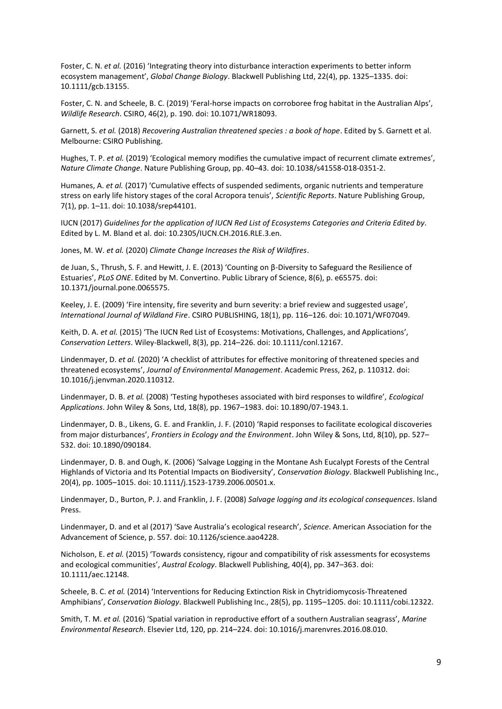Foster, C. N. *et al.* (2016) 'Integrating theory into disturbance interaction experiments to better inform ecosystem management', *Global Change Biology*. Blackwell Publishing Ltd, 22(4), pp. 1325–1335. doi: 10.1111/gcb.13155.

Foster, C. N. and Scheele, B. C. (2019) 'Feral-horse impacts on corroboree frog habitat in the Australian Alps', *Wildlife Research*. CSIRO, 46(2), p. 190. doi: 10.1071/WR18093.

Garnett, S. *et al.* (2018) *Recovering Australian threatened species : a book of hope*. Edited by S. Garnett et al. Melbourne: CSIRO Publishing.

Hughes, T. P. *et al.* (2019) 'Ecological memory modifies the cumulative impact of recurrent climate extremes', *Nature Climate Change*. Nature Publishing Group, pp. 40–43. doi: 10.1038/s41558-018-0351-2.

Humanes, A. *et al.* (2017) 'Cumulative effects of suspended sediments, organic nutrients and temperature stress on early life history stages of the coral Acropora tenuis', *Scientific Reports*. Nature Publishing Group, 7(1), pp. 1–11. doi: 10.1038/srep44101.

IUCN (2017) *Guidelines for the application of IUCN Red List of Ecosystems Categories and Criteria Edited by*. Edited by L. M. Bland et al. doi: 10.2305/IUCN.CH.2016.RLE.3.en.

Jones, M. W. *et al.* (2020) *Climate Change Increases the Risk of Wildfires*.

de Juan, S., Thrush, S. F. and Hewitt, J. E. (2013) 'Counting on β-Diversity to Safeguard the Resilience of Estuaries', *PLoS ONE*. Edited by M. Convertino. Public Library of Science, 8(6), p. e65575. doi: 10.1371/journal.pone.0065575.

Keeley, J. E. (2009) 'Fire intensity, fire severity and burn severity: a brief review and suggested usage', *International Journal of Wildland Fire*. CSIRO PUBLISHING, 18(1), pp. 116–126. doi: 10.1071/WF07049.

Keith, D. A. *et al.* (2015) 'The IUCN Red List of Ecosystems: Motivations, Challenges, and Applications', *Conservation Letters*. Wiley-Blackwell, 8(3), pp. 214–226. doi: 10.1111/conl.12167.

Lindenmayer, D. *et al.* (2020) 'A checklist of attributes for effective monitoring of threatened species and threatened ecosystems', *Journal of Environmental Management*. Academic Press, 262, p. 110312. doi: 10.1016/j.jenvman.2020.110312.

Lindenmayer, D. B. *et al.* (2008) 'Testing hypotheses associated with bird responses to wildfire', *Ecological Applications*. John Wiley & Sons, Ltd, 18(8), pp. 1967–1983. doi: 10.1890/07-1943.1.

Lindenmayer, D. B., Likens, G. E. and Franklin, J. F. (2010) 'Rapid responses to facilitate ecological discoveries from major disturbances', *Frontiers in Ecology and the Environment*. John Wiley & Sons, Ltd, 8(10), pp. 527– 532. doi: 10.1890/090184.

Lindenmayer, D. B. and Ough, K. (2006) 'Salvage Logging in the Montane Ash Eucalypt Forests of the Central Highlands of Victoria and Its Potential Impacts on Biodiversity', *Conservation Biology*. Blackwell Publishing Inc., 20(4), pp. 1005–1015. doi: 10.1111/j.1523-1739.2006.00501.x.

Lindenmayer, D., Burton, P. J. and Franklin, J. F. (2008) *Salvage logging and its ecological consequences*. Island Press.

Lindenmayer, D. and et al (2017) 'Save Australia's ecological research', *Science*. American Association for the Advancement of Science, p. 557. doi: 10.1126/science.aao4228.

Nicholson, E. *et al.* (2015) 'Towards consistency, rigour and compatibility of risk assessments for ecosystems and ecological communities', *Austral Ecology*. Blackwell Publishing, 40(4), pp. 347–363. doi: 10.1111/aec.12148.

Scheele, B. C. *et al.* (2014) 'Interventions for Reducing Extinction Risk in Chytridiomycosis-Threatened Amphibians', *Conservation Biology*. Blackwell Publishing Inc., 28(5), pp. 1195–1205. doi: 10.1111/cobi.12322.

Smith, T. M. *et al.* (2016) 'Spatial variation in reproductive effort of a southern Australian seagrass', *Marine Environmental Research*. Elsevier Ltd, 120, pp. 214–224. doi: 10.1016/j.marenvres.2016.08.010.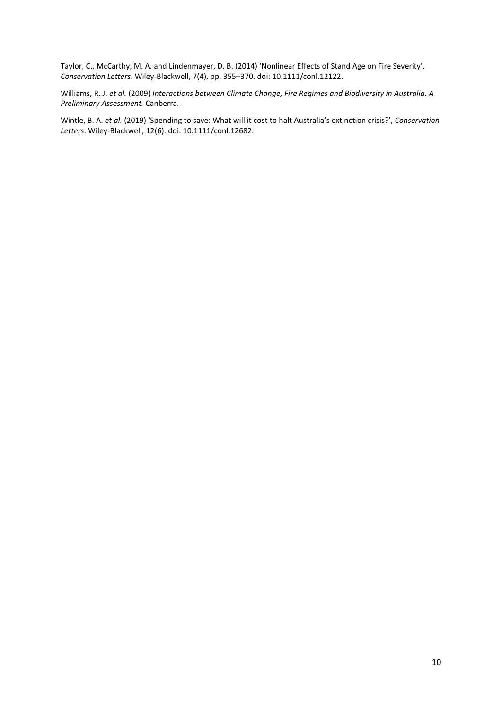Taylor, C., McCarthy, M. A. and Lindenmayer, D. B. (2014) 'Nonlinear Effects of Stand Age on Fire Severity', *Conservation Letters*. Wiley-Blackwell, 7(4), pp. 355–370. doi: 10.1111/conl.12122.

Williams, R. J. *et al.* (2009) *Interactions between Climate Change, Fire Regimes and Biodiversity in Australia. A Preliminary Assessment.* Canberra.

Wintle, B. A. *et al.* (2019) 'Spending to save: What will it cost to halt Australia's extinction crisis?', *Conservation Letters*. Wiley-Blackwell, 12(6). doi: 10.1111/conl.12682.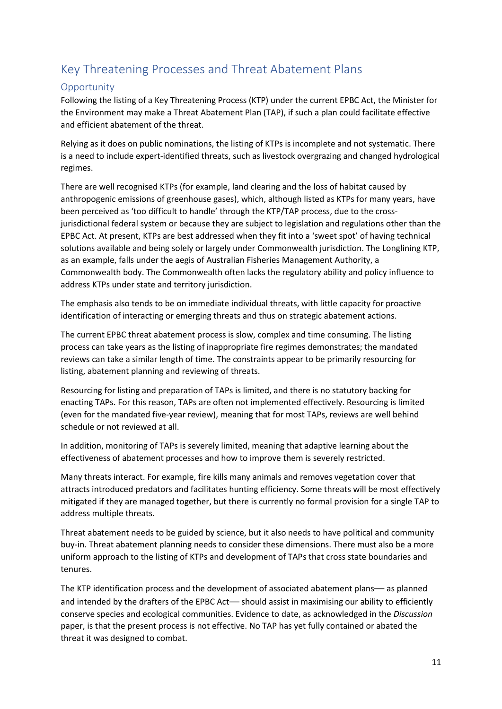# Key Threatening Processes and Threat Abatement Plans

# **Opportunity**

Following the listing of a Key Threatening Process (KTP) under the current EPBC Act, the Minister for the Environment may make a Threat Abatement Plan (TAP), if such a plan could facilitate effective and efficient abatement of the threat.

Relying as it does on public nominations, the listing of KTPs is incomplete and not systematic. There is a need to include expert-identified threats, such as livestock overgrazing and changed hydrological regimes.

There are well recognised KTPs (for example, land clearing and the loss of habitat caused by anthropogenic emissions of greenhouse gases), which, although listed as KTPs for many years, have been perceived as 'too difficult to handle' through the KTP/TAP process, due to the crossjurisdictional federal system or because they are subject to legislation and regulations other than the EPBC Act. At present, KTPs are best addressed when they fit into a 'sweet spot' of having technical solutions available and being solely or largely under Commonwealth jurisdiction. The Longlining KTP, as an example, falls under the aegis of Australian Fisheries Management Authority, a Commonwealth body. The Commonwealth often lacks the regulatory ability and policy influence to address KTPs under state and territory jurisdiction.

The emphasis also tends to be on immediate individual threats, with little capacity for proactive identification of interacting or emerging threats and thus on strategic abatement actions.

The current EPBC threat abatement process is slow, complex and time consuming. The listing process can take years as the listing of inappropriate fire regimes demonstrates; the mandated reviews can take a similar length of time. The constraints appear to be primarily resourcing for listing, abatement planning and reviewing of threats.

Resourcing for listing and preparation of TAPs is limited, and there is no statutory backing for enacting TAPs. For this reason, TAPs are often not implemented effectively. Resourcing is limited (even for the mandated five-year review), meaning that for most TAPs, reviews are well behind schedule or not reviewed at all.

In addition, monitoring of TAPs is severely limited, meaning that adaptive learning about the effectiveness of abatement processes and how to improve them is severely restricted.

Many threats interact. For example, fire kills many animals and removes vegetation cover that attracts introduced predators and facilitates hunting efficiency. Some threats will be most effectively mitigated if they are managed together, but there is currently no formal provision for a single TAP to address multiple threats.

Threat abatement needs to be guided by science, but it also needs to have political and community buy-in. Threat abatement planning needs to consider these dimensions. There must also be a more uniform approach to the listing of KTPs and development of TAPs that cross state boundaries and tenures.

The KTP identification process and the development of associated abatement plans— as planned and intended by the drafters of the EPBC Act— should assist in maximising our ability to efficiently conserve species and ecological communities. Evidence to date, as acknowledged in the *Discussion*  paper, is that the present process is not effective. No TAP has yet fully contained or abated the threat it was designed to combat.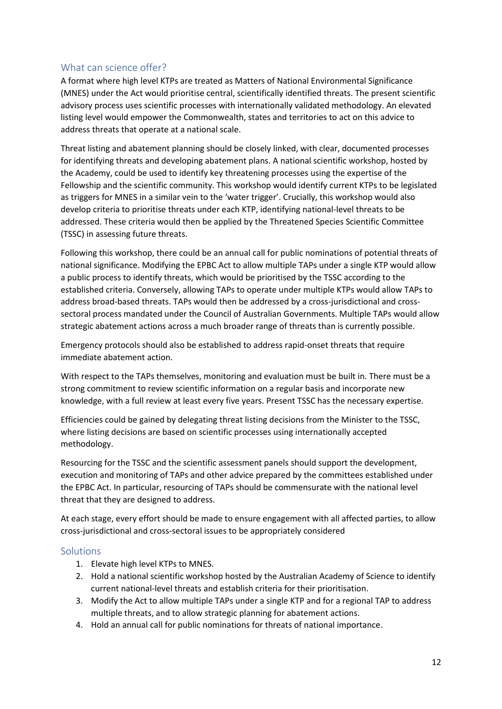### What can science offer?

A format where high level KTPs are treated as Matters of National Environmental Significance (MNES) under the Act would prioritise central, scientifically identified threats. The present scientific advisory process uses scientific processes with internationally validated methodology. An elevated listing level would empower the Commonwealth, states and territories to act on this advice to address threats that operate at a national scale.

Threat listing and abatement planning should be closely linked, with clear, documented processes for identifying threats and developing abatement plans. A national scientific workshop, hosted by the Academy, could be used to identify key threatening processes using the expertise of the Fellowship and the scientific community. This workshop would identify current KTPs to be legislated as triggers for MNES in a similar vein to the 'water trigger'. Crucially, this workshop would also develop criteria to prioritise threats under each KTP, identifying national-level threats to be addressed. These criteria would then be applied by the Threatened Species Scientific Committee (TSSC) in assessing future threats.

Following this workshop, there could be an annual call for public nominations of potential threats of national significance. Modifying the EPBC Act to allow multiple TAPs under a single KTP would allow a public process to identify threats, which would be prioritised by the TSSC according to the established criteria. Conversely, allowing TAPs to operate under multiple KTPs would allow TAPs to address broad-based threats. TAPs would then be addressed by a cross-jurisdictional and crosssectoral process mandated under the Council of Australian Governments. Multiple TAPs would allow strategic abatement actions across a much broader range of threats than is currently possible.

Emergency protocols should also be established to address rapid-onset threats that require immediate abatement action.

With respect to the TAPs themselves, monitoring and evaluation must be built in. There must be a strong commitment to review scientific information on a regular basis and incorporate new knowledge, with a full review at least every five years. Present TSSC has the necessary expertise.

Efficiencies could be gained by delegating threat listing decisions from the Minister to the TSSC, where listing decisions are based on scientific processes using internationally accepted methodology.

Resourcing for the TSSC and the scientific assessment panels should support the development, execution and monitoring of TAPs and other advice prepared by the committees established under the EPBC Act. In particular, resourcing of TAPs should be commensurate with the national level threat that they are designed to address.

At each stage, every effort should be made to ensure engagement with all affected parties, to allow cross-jurisdictional and cross-sectoral issues to be appropriately considered

### **Solutions**

- 1. Elevate high level KTPs to MNES.
- 2. Hold a national scientific workshop hosted by the Australian Academy of Science to identify current national-level threats and establish criteria for their prioritisation.
- 3. Modify the Act to allow multiple TAPs under a single KTP and for a regional TAP to address multiple threats, and to allow strategic planning for abatement actions.
- 4. Hold an annual call for public nominations for threats of national importance.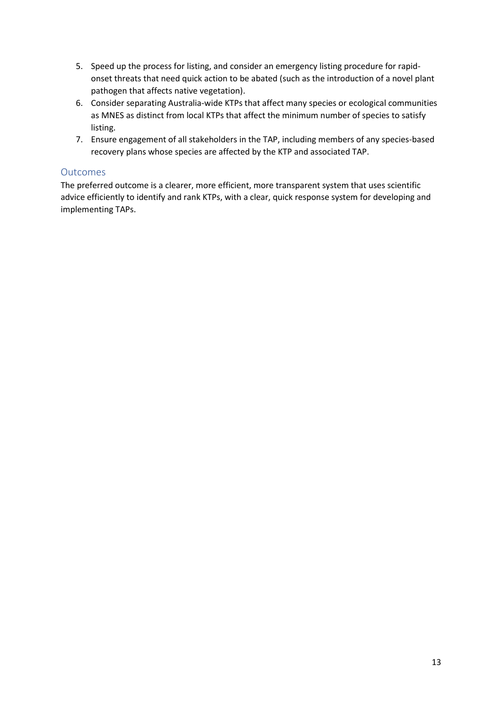- 5. Speed up the process for listing, and consider an emergency listing procedure for rapidonset threats that need quick action to be abated (such as the introduction of a novel plant pathogen that affects native vegetation).
- 6. Consider separating Australia-wide KTPs that affect many species or ecological communities as MNES as distinct from local KTPs that affect the minimum number of species to satisfy listing.
- 7. Ensure engagement of all stakeholders in the TAP, including members of any species-based recovery plans whose species are affected by the KTP and associated TAP.

## **Outcomes**

The preferred outcome is a clearer, more efficient, more transparent system that uses scientific advice efficiently to identify and rank KTPs, with a clear, quick response system for developing and implementing TAPs.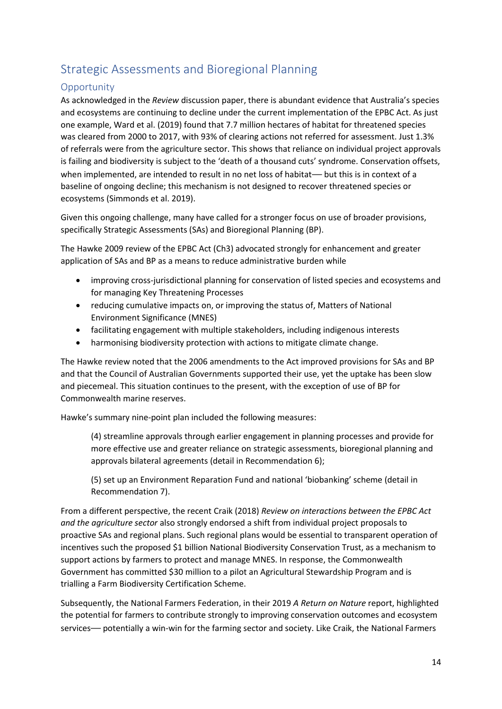# Strategic Assessments and Bioregional Planning

# **Opportunity**

As acknowledged in the *Review* discussion paper, there is abundant evidence that Australia's species and ecosystems are continuing to decline under the current implementation of the EPBC Act. As just one example, Ward et al. (2019) found that 7.7 million hectares of habitat for threatened species was cleared from 2000 to 2017, with 93% of clearing actions not referred for assessment. Just 1.3% of referrals were from the agriculture sector. This shows that reliance on individual project approvals is failing and biodiversity is subject to the 'death of a thousand cuts' syndrome. Conservation offsets, when implemented, are intended to result in no net loss of habitat— but this is in context of a baseline of ongoing decline; this mechanism is not designed to recover threatened species or ecosystems (Simmonds et al. 2019).

Given this ongoing challenge, many have called for a stronger focus on use of broader provisions, specifically Strategic Assessments (SAs) and Bioregional Planning (BP).

The Hawke 2009 review of the EPBC Act (Ch3) advocated strongly for enhancement and greater application of SAs and BP as a means to reduce administrative burden while

- improving cross-jurisdictional planning for conservation of listed species and ecosystems and for managing Key Threatening Processes
- reducing cumulative impacts on, or improving the status of, Matters of National Environment Significance (MNES)
- facilitating engagement with multiple stakeholders, including indigenous interests
- harmonising biodiversity protection with actions to mitigate climate change.

The Hawke review noted that the 2006 amendments to the Act improved provisions for SAs and BP and that the Council of Australian Governments supported their use, yet the uptake has been slow and piecemeal. This situation continues to the present, with the exception of use of BP for Commonwealth marine reserves.

Hawke's summary nine-point plan included the following measures:

(4) streamline approvals through earlier engagement in planning processes and provide for more effective use and greater reliance on strategic assessments, bioregional planning and approvals bilateral agreements (detail in Recommendation 6);

(5) set up an Environment Reparation Fund and national 'biobanking' scheme (detail in Recommendation 7).

From a different perspective, the recent Craik (2018) *Review on interactions between the EPBC Act and the agriculture sector* also strongly endorsed a shift from individual project proposals to proactive SAs and regional plans. Such regional plans would be essential to transparent operation of incentives such the proposed \$1 billion National Biodiversity Conservation Trust, as a mechanism to support actions by farmers to protect and manage MNES. In response, the Commonwealth Government has committed \$30 million to a pilot an Agricultural Stewardship Program and is trialling a Farm Biodiversity Certification Scheme.

Subsequently, the National Farmers Federation, in their 2019 *A Return on Nature* report, highlighted the potential for farmers to contribute strongly to improving conservation outcomes and ecosystem services— potentially a win-win for the farming sector and society. Like Craik, the National Farmers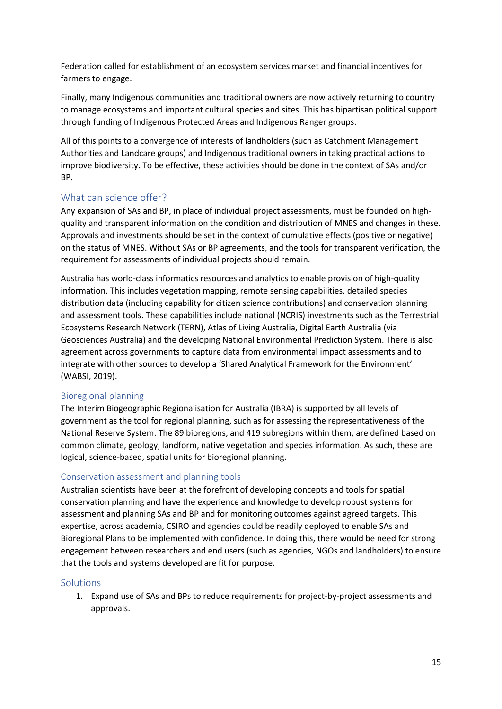Federation called for establishment of an ecosystem services market and financial incentives for farmers to engage.

Finally, many Indigenous communities and traditional owners are now actively returning to country to manage ecosystems and important cultural species and sites. This has bipartisan political support through funding of Indigenous Protected Areas and Indigenous Ranger groups.

All of this points to a convergence of interests of landholders (such as Catchment Management Authorities and Landcare groups) and Indigenous traditional owners in taking practical actions to improve biodiversity. To be effective, these activities should be done in the context of SAs and/or BP.

## What can science offer?

Any expansion of SAs and BP, in place of individual project assessments, must be founded on highquality and transparent information on the condition and distribution of MNES and changes in these. Approvals and investments should be set in the context of cumulative effects (positive or negative) on the status of MNES. Without SAs or BP agreements, and the tools for transparent verification, the requirement for assessments of individual projects should remain.

Australia has world-class informatics resources and analytics to enable provision of high-quality information. This includes vegetation mapping, remote sensing capabilities, detailed species distribution data (including capability for citizen science contributions) and conservation planning and assessment tools. These capabilities include national (NCRIS) investments such as the Terrestrial Ecosystems Research Network (TERN), Atlas of Living Australia, Digital Earth Australia (via Geosciences Australia) and the developing National Environmental Prediction System. There is also agreement across governments to capture data from environmental impact assessments and to integrate with other sources to develop a 'Shared Analytical Framework for the Environment' (WABSI, 2019).

### Bioregional planning

The Interim Biogeographic Regionalisation for Australia (IBRA) is supported by all levels of government as the tool for regional planning, such as for assessing the representativeness of the National Reserve System. The 89 bioregions, and 419 subregions within them, are defined based on common climate, geology, landform, native vegetation and species information. As such, these are logical, science-based, spatial units for bioregional planning.

### Conservation assessment and planning tools

Australian scientists have been at the forefront of developing concepts and tools for spatial conservation planning and have the experience and knowledge to develop robust systems for assessment and planning SAs and BP and for monitoring outcomes against agreed targets. This expertise, across academia, CSIRO and agencies could be readily deployed to enable SAs and Bioregional Plans to be implemented with confidence. In doing this, there would be need for strong engagement between researchers and end users (such as agencies, NGOs and landholders) to ensure that the tools and systems developed are fit for purpose.

#### **Solutions**

1. Expand use of SAs and BPs to reduce requirements for project-by-project assessments and approvals.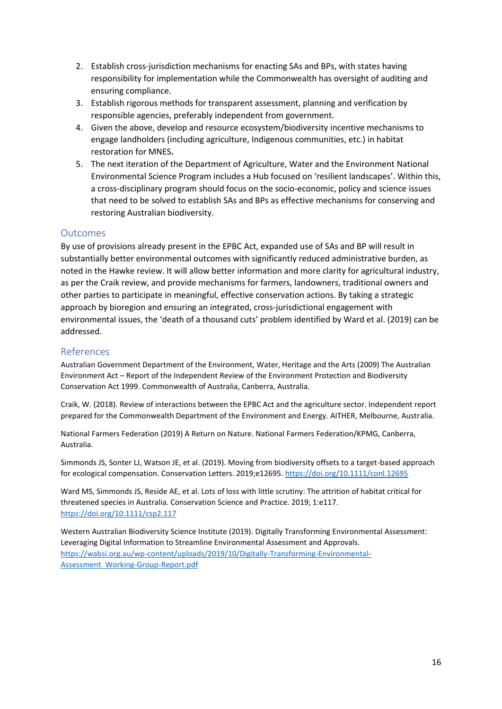- 2. Establish cross-jurisdiction mechanisms for enacting SAs and BPs, with states having responsibility for implementation while the Commonwealth has oversight of auditing and ensuring compliance.
- 3. Establish rigorous methods for transparent assessment, planning and verification by responsible agencies, preferably independent from government.
- 4. Given the above, develop and resource ecosystem/biodiversity incentive mechanisms to engage landholders (including agriculture, Indigenous communities, etc.) in habitat restoration for MNES**.**
- 5. The next iteration of the Department of Agriculture, Water and the Environment National Environmental Science Program includes a Hub focused on 'resilient landscapes'. Within this, a cross-disciplinary program should focus on the socio-economic, policy and science issues that need to be solved to establish SAs and BPs as effective mechanisms for conserving and restoring Australian biodiversity.

### **Outcomes**

By use of provisions already present in the EPBC Act, expanded use of SAs and BP will result in substantially better environmental outcomes with significantly reduced administrative burden, as noted in the Hawke review. It will allow better information and more clarity for agricultural industry, as per the Craik review, and provide mechanisms for farmers, landowners, traditional owners and other parties to participate in meaningful, effective conservation actions. By taking a strategic approach by bioregion and ensuring an integrated, cross-jurisdictional engagement with environmental issues, the 'death of a thousand cuts' problem identified by Ward et al. (2019) can be addressed.

### References

Australian Government Department of the Environment, Water, Heritage and the Arts (2009) The Australian Environment Act – Report of the Independent Review of the Environment Protection and Biodiversity Conservation Act 1999. Commonwealth of Australia, Canberra, Australia.

Craik, W. (2018). Review of interactions between the EPBC Act and the agriculture sector. Independent report prepared for the Commonwealth Department of the Environment and Energy. AITHER, Melbourne, Australia.

National Farmers Federation (2019) A Return on Nature. National Farmers Federation/KPMG, Canberra, Australia.

Simmonds JS, Sonter LJ, Watson JE, et al. (2019). Moving from biodiversity offsets to a target-based approach for ecological compensation. Conservation Letters. 2019;e12695.<https://doi.org/10.1111/conl.12695>

Ward MS, Simmonds JS, Reside AE, et al. Lots of loss with little scrutiny: The attrition of habitat critical for threatened species in Australia. Conservation Science and Practice. 2019; 1:e117. <https://doi.org/10.1111/csp2.117>

Western Australian Biodiversity Science Institute (2019). Digitally Transforming Environmental Assessment: Leveraging Digital Information to Streamline Environmental Assessment and Approvals. [https://wabsi.org.au/wp-content/uploads/2019/10/Digitally-Transforming-Environmental-](https://wabsi.org.au/wp-content/uploads/2019/10/Digitally-Transforming-Environmental-Assessment_Working-Group-Report.pdf)[Assessment\\_Working-Group-Report.pdf](https://wabsi.org.au/wp-content/uploads/2019/10/Digitally-Transforming-Environmental-Assessment_Working-Group-Report.pdf)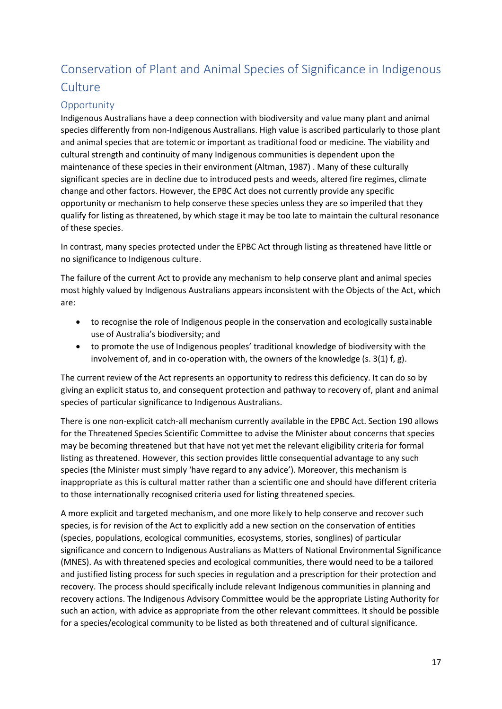# Conservation of Plant and Animal Species of Significance in Indigenous **Culture**

# **Opportunity**

Indigenous Australians have a deep connection with biodiversity and value many plant and animal species differently from non-Indigenous Australians. High value is ascribed particularly to those plant and animal species that are totemic or important as traditional food or medicine. The viability and cultural strength and continuity of many Indigenous communities is dependent upon the maintenance of these species in their environment (Altman, 1987) . Many of these culturally significant species are in decline due to introduced pests and weeds, altered fire regimes, climate change and other factors. However, the EPBC Act does not currently provide any specific opportunity or mechanism to help conserve these species unless they are so imperiled that they qualify for listing as threatened, by which stage it may be too late to maintain the cultural resonance of these species.

In contrast, many species protected under the EPBC Act through listing as threatened have little or no significance to Indigenous culture.

The failure of the current Act to provide any mechanism to help conserve plant and animal species most highly valued by Indigenous Australians appears inconsistent with the Objects of the Act, which are:

- to recognise the role of Indigenous people in the conservation and ecologically sustainable use of Australia's biodiversity; and
- to promote the use of Indigenous peoples' traditional knowledge of biodiversity with the involvement of, and in co-operation with, the owners of the knowledge (s.  $3(1)$  f, g).

The current review of the Act represents an opportunity to redress this deficiency. It can do so by giving an explicit status to, and consequent protection and pathway to recovery of, plant and animal species of particular significance to Indigenous Australians.

There is one non-explicit catch-all mechanism currently available in the EPBC Act. Section 190 allows for the Threatened Species Scientific Committee to advise the Minister about concerns that species may be becoming threatened but that have not yet met the relevant eligibility criteria for formal listing as threatened. However, this section provides little consequential advantage to any such species (the Minister must simply 'have regard to any advice'). Moreover, this mechanism is inappropriate as this is cultural matter rather than a scientific one and should have different criteria to those internationally recognised criteria used for listing threatened species.

A more explicit and targeted mechanism, and one more likely to help conserve and recover such species, is for revision of the Act to explicitly add a new section on the conservation of entities (species, populations, ecological communities, ecosystems, stories, songlines) of particular significance and concern to Indigenous Australians as Matters of National Environmental Significance (MNES). As with threatened species and ecological communities, there would need to be a tailored and justified listing process for such species in regulation and a prescription for their protection and recovery. The process should specifically include relevant Indigenous communities in planning and recovery actions. The Indigenous Advisory Committee would be the appropriate Listing Authority for such an action, with advice as appropriate from the other relevant committees. It should be possible for a species/ecological community to be listed as both threatened and of cultural significance.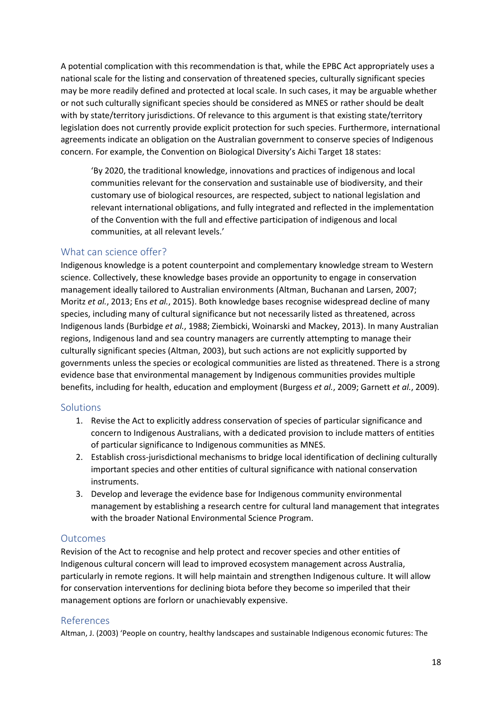A potential complication with this recommendation is that, while the EPBC Act appropriately uses a national scale for the listing and conservation of threatened species, culturally significant species may be more readily defined and protected at local scale. In such cases, it may be arguable whether or not such culturally significant species should be considered as MNES or rather should be dealt with by state/territory jurisdictions. Of relevance to this argument is that existing state/territory legislation does not currently provide explicit protection for such species. Furthermore, international agreements indicate an obligation on the Australian government to conserve species of Indigenous concern. For example, the Convention on Biological Diversity's Aichi Target 18 states:

'By 2020, the traditional knowledge, innovations and practices of indigenous and local communities relevant for the conservation and sustainable use of biodiversity, and their customary use of biological resources, are respected, subject to national legislation and relevant international obligations, and fully integrated and reflected in the implementation of the Convention with the full and effective participation of indigenous and local communities, at all relevant levels.'

### What can science offer?

Indigenous knowledge is a potent counterpoint and complementary knowledge stream to Western science. Collectively, these knowledge bases provide an opportunity to engage in conservation management ideally tailored to Australian environments (Altman, Buchanan and Larsen, 2007; Moritz *et al.*, 2013; Ens *et al.*, 2015). Both knowledge bases recognise widespread decline of many species, including many of cultural significance but not necessarily listed as threatened, across Indigenous lands (Burbidge *et al.*, 1988; Ziembicki, Woinarski and Mackey, 2013). In many Australian regions, Indigenous land and sea country managers are currently attempting to manage their culturally significant species (Altman, 2003), but such actions are not explicitly supported by governments unless the species or ecological communities are listed as threatened. There is a strong evidence base that environmental management by Indigenous communities provides multiple benefits, including for health, education and employment (Burgess *et al.*, 2009; Garnett *et al.*, 2009).

### Solutions

- 1. Revise the Act to explicitly address conservation of species of particular significance and concern to Indigenous Australians, with a dedicated provision to include matters of entities of particular significance to Indigenous communities as MNES.
- 2. Establish cross-jurisdictional mechanisms to bridge local identification of declining culturally important species and other entities of cultural significance with national conservation instruments.
- 3. Develop and leverage the evidence base for Indigenous community environmental management by establishing a research centre for cultural land management that integrates with the broader National Environmental Science Program.

## **Outcomes**

Revision of the Act to recognise and help protect and recover species and other entities of Indigenous cultural concern will lead to improved ecosystem management across Australia, particularly in remote regions. It will help maintain and strengthen Indigenous culture. It will allow for conservation interventions for declining biota before they become so imperiled that their management options are forlorn or unachievably expensive.

### References

Altman, J. (2003) 'People on country, healthy landscapes and sustainable Indigenous economic futures: The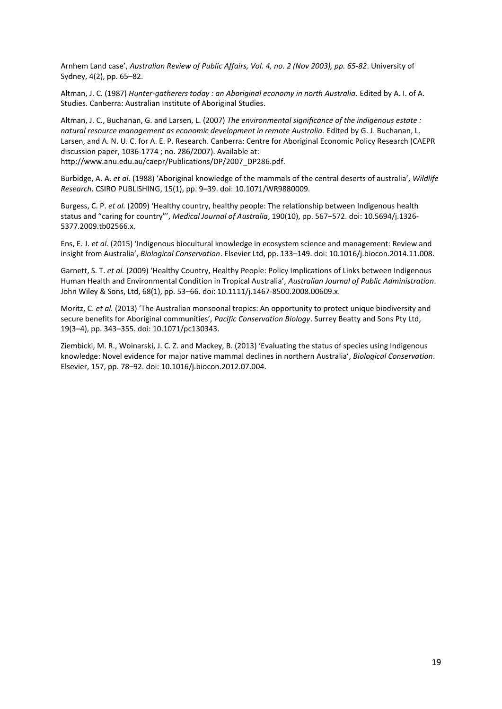Arnhem Land case', *Australian Review of Public Affairs, Vol. 4, no. 2 (Nov 2003), pp. 65-82*. University of Sydney, 4(2), pp. 65–82.

Altman, J. C. (1987) *Hunter-gatherers today : an Aboriginal economy in north Australia*. Edited by A. I. of A. Studies. Canberra: Australian Institute of Aboriginal Studies.

Altman, J. C., Buchanan, G. and Larsen, L. (2007) *The environmental significance of the indigenous estate : natural resource management as economic development in remote Australia*. Edited by G. J. Buchanan, L. Larsen, and A. N. U. C. for A. E. P. Research. Canberra: Centre for Aboriginal Economic Policy Research (CAEPR discussion paper, 1036-1774 ; no. 286/2007). Available at: http://www.anu.edu.au/caepr/Publications/DP/2007\_DP286.pdf.

Burbidge, A. A. *et al.* (1988) 'Aboriginal knowledge of the mammals of the central deserts of australia', *Wildlife Research*. CSIRO PUBLISHING, 15(1), pp. 9–39. doi: 10.1071/WR9880009.

Burgess, C. P. *et al.* (2009) 'Healthy country, healthy people: The relationship between Indigenous health status and "caring for country"', *Medical Journal of Australia*, 190(10), pp. 567–572. doi: 10.5694/j.1326- 5377.2009.tb02566.x.

Ens, E. J. *et al.* (2015) 'Indigenous biocultural knowledge in ecosystem science and management: Review and insight from Australia', *Biological Conservation*. Elsevier Ltd, pp. 133–149. doi: 10.1016/j.biocon.2014.11.008.

Garnett, S. T. *et al.* (2009) 'Healthy Country, Healthy People: Policy Implications of Links between Indigenous Human Health and Environmental Condition in Tropical Australia', *Australian Journal of Public Administration*. John Wiley & Sons, Ltd, 68(1), pp. 53–66. doi: 10.1111/j.1467-8500.2008.00609.x.

Moritz, C. *et al.* (2013) 'The Australian monsoonal tropics: An opportunity to protect unique biodiversity and secure benefits for Aboriginal communities', *Pacific Conservation Biology*. Surrey Beatty and Sons Pty Ltd, 19(3–4), pp. 343–355. doi: 10.1071/pc130343.

Ziembicki, M. R., Woinarski, J. C. Z. and Mackey, B. (2013) 'Evaluating the status of species using Indigenous knowledge: Novel evidence for major native mammal declines in northern Australia', *Biological Conservation*. Elsevier, 157, pp. 78–92. doi: 10.1016/j.biocon.2012.07.004.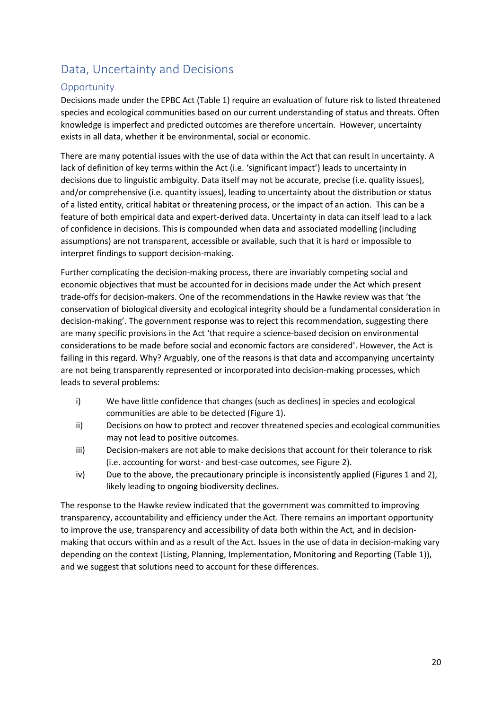# Data, Uncertainty and Decisions

# **Opportunity**

Decisions made under the EPBC Act (Table 1) require an evaluation of future risk to listed threatened species and ecological communities based on our current understanding of status and threats. Often knowledge is imperfect and predicted outcomes are therefore uncertain. However, uncertainty exists in all data, whether it be environmental, social or economic.

There are many potential issues with the use of data within the Act that can result in uncertainty. A lack of definition of key terms within the Act (i.e. 'significant impact') leads to uncertainty in decisions due to linguistic ambiguity. Data itself may not be accurate, precise (i.e. quality issues), and/or comprehensive (i.e. quantity issues), leading to uncertainty about the distribution or status of a listed entity, critical habitat or threatening process, or the impact of an action. This can be a feature of both empirical data and expert-derived data. Uncertainty in data can itself lead to a lack of confidence in decisions. This is compounded when data and associated modelling (including assumptions) are not transparent, accessible or available, such that it is hard or impossible to interpret findings to support decision-making.

Further complicating the decision-making process, there are invariably competing social and economic objectives that must be accounted for in decisions made under the Act which present trade-offs for decision-makers. One of the recommendations in the Hawke review was that 'the conservation of biological diversity and ecological integrity should be a fundamental consideration in decision-making'. The government response was to reject this recommendation, suggesting there are many specific provisions in the Act 'that require a science-based decision on environmental considerations to be made before social and economic factors are considered'. However, the Act is failing in this regard. Why? Arguably, one of the reasons is that data and accompanying uncertainty are not being transparently represented or incorporated into decision-making processes, which leads to several problems:

- i) We have little confidence that changes (such as declines) in species and ecological communities are able to be detected (Figure 1).
- ii) Decisions on how to protect and recover threatened species and ecological communities may not lead to positive outcomes.
- iii) Decision-makers are not able to make decisions that account for their tolerance to risk (i.e. accounting for worst- and best-case outcomes, see Figure 2).
- iv) Due to the above, the precautionary principle is inconsistently applied (Figures 1 and 2), likely leading to ongoing biodiversity declines.

The response to the Hawke review indicated that the government was committed to improving transparency, accountability and efficiency under the Act. There remains an important opportunity to improve the use, transparency and accessibility of data both within the Act, and in decisionmaking that occurs within and as a result of the Act. Issues in the use of data in decision-making vary depending on the context (Listing, Planning, Implementation, Monitoring and Reporting (Table 1)), and we suggest that solutions need to account for these differences.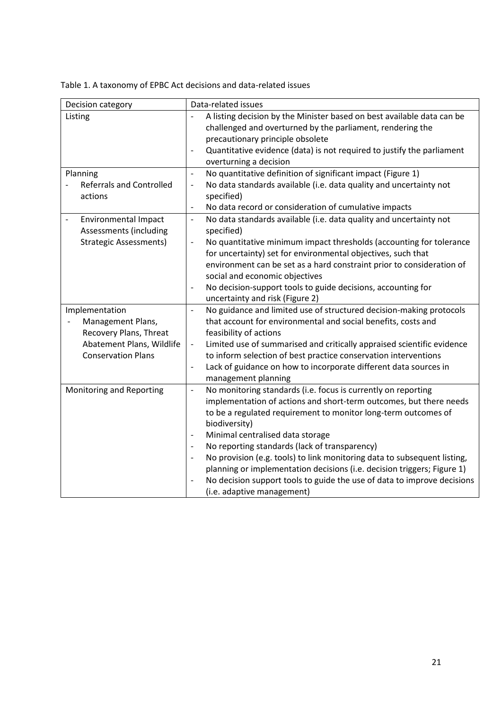Table 1. A taxonomy of EPBC Act decisions and data-related issues

| Decision category                                                       | Data-related issues                                                                                                                                                      |
|-------------------------------------------------------------------------|--------------------------------------------------------------------------------------------------------------------------------------------------------------------------|
| Listing                                                                 | A listing decision by the Minister based on best available data can be<br>challenged and overturned by the parliament, rendering the<br>precautionary principle obsolete |
|                                                                         | Quantitative evidence (data) is not required to justify the parliament<br>$\overline{a}$<br>overturning a decision                                                       |
| Planning                                                                | No quantitative definition of significant impact (Figure 1)<br>$\overline{\phantom{a}}$                                                                                  |
| <b>Referrals and Controlled</b><br>actions                              | No data standards available (i.e. data quality and uncertainty not<br>$\qquad \qquad -$<br>specified)                                                                    |
|                                                                         | No data record or consideration of cumulative impacts<br>$\qquad \qquad \blacksquare$                                                                                    |
| <b>Environmental Impact</b><br>$\blacksquare$<br>Assessments (including | No data standards available (i.e. data quality and uncertainty not<br>$\overline{\phantom{a}}$<br>specified)                                                             |
| <b>Strategic Assessments)</b>                                           | No quantitative minimum impact thresholds (accounting for tolerance<br>$\overline{a}$<br>for uncertainty) set for environmental objectives, such that                    |
|                                                                         | environment can be set as a hard constraint prior to consideration of<br>social and economic objectives                                                                  |
|                                                                         | No decision-support tools to guide decisions, accounting for<br>$\qquad \qquad \blacksquare$                                                                             |
|                                                                         | uncertainty and risk (Figure 2)                                                                                                                                          |
| Implementation                                                          | No guidance and limited use of structured decision-making protocols<br>$\overline{a}$                                                                                    |
| Management Plans,                                                       | that account for environmental and social benefits, costs and                                                                                                            |
| Recovery Plans, Threat                                                  | feasibility of actions                                                                                                                                                   |
| Abatement Plans, Wildlife                                               | Limited use of summarised and critically appraised scientific evidence<br>$\overline{\phantom{m}}$                                                                       |
| <b>Conservation Plans</b>                                               | to inform selection of best practice conservation interventions                                                                                                          |
|                                                                         | Lack of guidance on how to incorporate different data sources in<br>$\qquad \qquad \blacksquare$<br>management planning                                                  |
| Monitoring and Reporting                                                | No monitoring standards (i.e. focus is currently on reporting<br>$\qquad \qquad \blacksquare$                                                                            |
|                                                                         | implementation of actions and short-term outcomes, but there needs                                                                                                       |
|                                                                         | to be a regulated requirement to monitor long-term outcomes of                                                                                                           |
|                                                                         | biodiversity)                                                                                                                                                            |
|                                                                         | Minimal centralised data storage<br>$\overline{\phantom{0}}$                                                                                                             |
|                                                                         | No reporting standards (lack of transparency)<br>$\qquad \qquad \blacksquare$                                                                                            |
|                                                                         | No provision (e.g. tools) to link monitoring data to subsequent listing,<br>$\qquad \qquad \blacksquare$                                                                 |
|                                                                         | planning or implementation decisions (i.e. decision triggers; Figure 1)                                                                                                  |
|                                                                         | No decision support tools to guide the use of data to improve decisions<br>$\overline{a}$                                                                                |
|                                                                         | (i.e. adaptive management)                                                                                                                                               |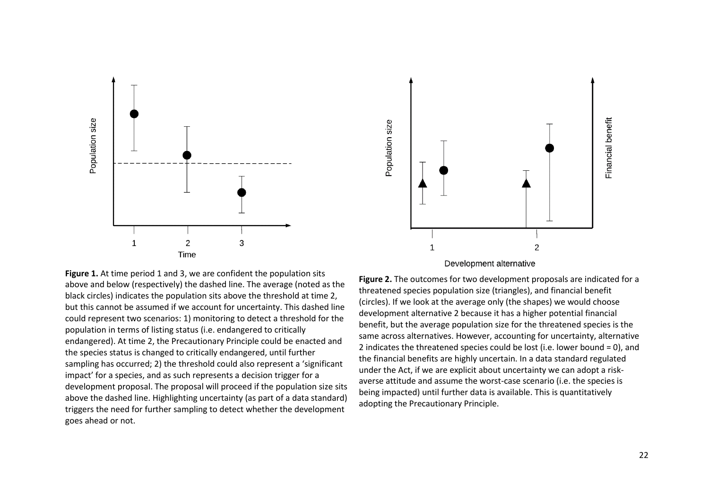

Financial benefit Population size  $\mathbf 1$  $\overline{c}$ 

Development alternative

**Figure 1.** At time period 1 and 3, we are confident the population sits above and below (respectively) the dashed line. The average (noted as the black circles) indicates the population sits above the threshold at time 2, but this cannot be assumed if we account for uncertainty. This dashed line could represent two scenarios: 1) monitoring to detect a threshold for the population in terms of listing status (i.e. endangered to critically endangered). At time 2, the Precautionary Principle could be enacted and the species status is changed to critically endangered, until further sampling has occurred; 2) the threshold could also represent a 'significant impact' for a species, and as such represents a decision trigger for a development proposal. The proposal will proceed if the population size sits above the dashed line. Highlighting uncertainty (as part of a data standard) triggers the need for further sampling to detect whether the development goes ahead or not.

**Figure 2.** The outcomes for two development proposals are indicated for a threatened species population size (triangles), and financial benefit (circles). If we look at the average only (the shapes) we would choose development alternative 2 because it has a higher potential financial benefit, but the average population size for the threatened species is the same across alternatives. However, accounting for uncertainty, alternative 2 indicates the threatened species could be lost (i.e. lower bound = 0), and the financial benefits are highly uncertain. In a data standard regulated under the Act, if we are explicit about uncertainty we can adopt a riskaverse attitude and assume the worst-case scenario (i.e. the species is being impacted) until further data is available. This is quantitatively adopting the Precautionary Principle.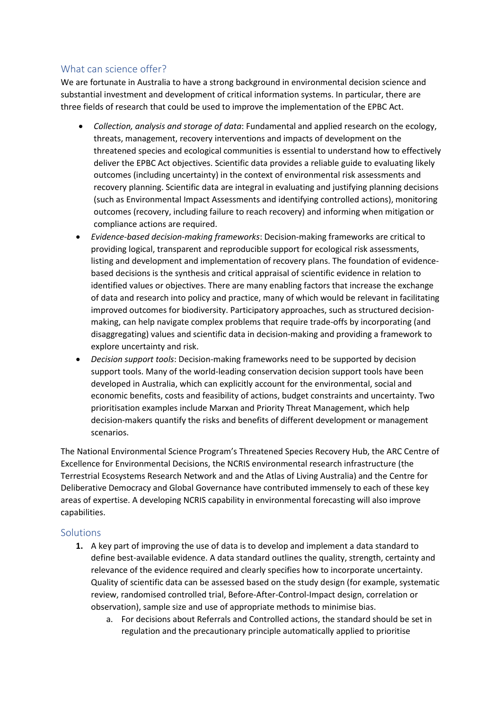# What can science offer?

We are fortunate in Australia to have a strong background in environmental decision science and substantial investment and development of critical information systems. In particular, there are three fields of research that could be used to improve the implementation of the EPBC Act.

- *Collection, analysis and storage of data*: Fundamental and applied research on the ecology, threats, management, recovery interventions and impacts of development on the threatened species and ecological communities is essential to understand how to effectively deliver the EPBC Act objectives. Scientific data provides a reliable guide to evaluating likely outcomes (including uncertainty) in the context of environmental risk assessments and recovery planning. Scientific data are integral in evaluating and justifying planning decisions (such as Environmental Impact Assessments and identifying controlled actions), monitoring outcomes (recovery, including failure to reach recovery) and informing when mitigation or compliance actions are required.
- *Evidence-based decision-making frameworks*: Decision-making frameworks are critical to providing logical, transparent and reproducible support for ecological risk assessments, listing and development and implementation of recovery plans. The foundation of evidencebased decisions is the synthesis and critical appraisal of scientific evidence in relation to identified values or objectives. There are many enabling factors that increase the exchange of data and research into policy and practice, many of which would be relevant in facilitating improved outcomes for biodiversity. Participatory approaches, such as structured decisionmaking, can help navigate complex problems that require trade-offs by incorporating (and disaggregating) values and scientific data in decision-making and providing a framework to explore uncertainty and risk.
- *Decision support tools*: Decision-making frameworks need to be supported by decision support tools. Many of the world-leading conservation decision support tools have been developed in Australia, which can explicitly account for the environmental, social and economic benefits, costs and feasibility of actions, budget constraints and uncertainty. Two prioritisation examples include Marxan and Priority Threat Management, which help decision-makers quantify the risks and benefits of different development or management scenarios.

The National Environmental Science Program's Threatened Species Recovery Hub, the ARC Centre of Excellence for Environmental Decisions, the NCRIS environmental research infrastructure (the Terrestrial Ecosystems Research Network and and the Atlas of Living Australia) and the Centre for Deliberative Democracy and Global Governance have contributed immensely to each of these key areas of expertise. A developing NCRIS capability in environmental forecasting will also improve capabilities.

### Solutions

- **1.** A key part of improving the use of data is to develop and implement a data standard to define best-available evidence. A data standard outlines the quality, strength, certainty and relevance of the evidence required and clearly specifies how to incorporate uncertainty. Quality of scientific data can be assessed based on the study design (for example, systematic review, randomised controlled trial, Before-After-Control-Impact design, correlation or observation), sample size and use of appropriate methods to minimise bias.
	- a. For decisions about Referrals and Controlled actions, the standard should be set in regulation and the precautionary principle automatically applied to prioritise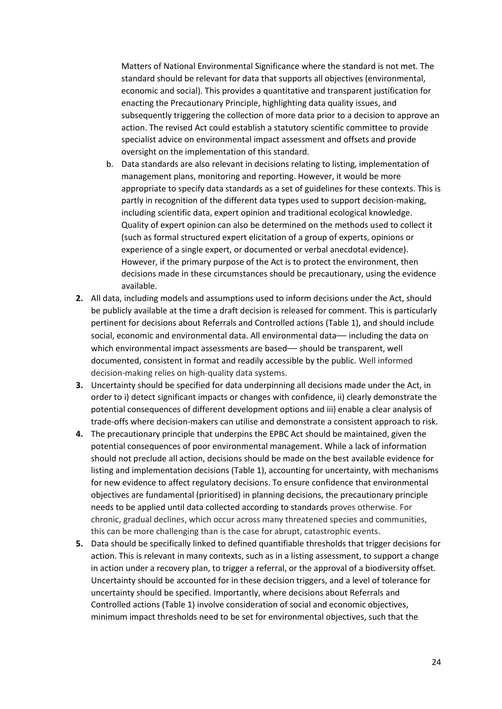Matters of National Environmental Significance where the standard is not met. The standard should be relevant for data that supports all objectives (environmental, economic and social). This provides a quantitative and transparent justification for enacting the Precautionary Principle, highlighting data quality issues, and subsequently triggering the collection of more data prior to a decision to approve an action. The revised Act could establish a statutory scientific committee to provide specialist advice on environmental impact assessment and offsets and provide oversight on the implementation of this standard.

- b. Data standards are also relevant in decisions relating to listing, implementation of management plans, monitoring and reporting. However, it would be more appropriate to specify data standards as a set of guidelines for these contexts. This is partly in recognition of the different data types used to support decision-making, including scientific data, expert opinion and traditional ecological knowledge. Quality of expert opinion can also be determined on the methods used to collect it (such as formal structured expert elicitation of a group of experts, opinions or experience of a single expert, or documented or verbal anecdotal evidence). However, if the primary purpose of the Act is to protect the environment, then decisions made in these circumstances should be precautionary, using the evidence available.
- **2.** All data, including models and assumptions used to inform decisions under the Act, should be publicly available at the time a draft decision is released for comment. This is particularly pertinent for decisions about Referrals and Controlled actions (Table 1), and should include social, economic and environmental data. All environmental data— including the data on which environmental impact assessments are based— should be transparent, well documented, consistent in format and readily accessible by the public. Well informed decision-making relies on high-quality data systems.
- **3.** Uncertainty should be specified for data underpinning all decisions made under the Act, in order to i) detect significant impacts or changes with confidence, ii) clearly demonstrate the potential consequences of different development options and iii) enable a clear analysis of trade-offs where decision-makers can utilise and demonstrate a consistent approach to risk.
- **4.** The precautionary principle that underpins the EPBC Act should be maintained, given the potential consequences of poor environmental management. While a lack of information should not preclude all action, decisions should be made on the best available evidence for listing and implementation decisions (Table 1), accounting for uncertainty, with mechanisms for new evidence to affect regulatory decisions. To ensure confidence that environmental objectives are fundamental (prioritised) in planning decisions, the precautionary principle needs to be applied until data collected according to standards proves otherwise. For chronic, gradual declines, which occur across many threatened species and communities, this can be more challenging than is the case for abrupt, catastrophic events.
- **5.** Data should be specifically linked to defined quantifiable thresholds that trigger decisions for action. This is relevant in many contexts, such as in a listing assessment, to support a change in action under a recovery plan, to trigger a referral, or the approval of a biodiversity offset. Uncertainty should be accounted for in these decision triggers, and a level of tolerance for uncertainty should be specified. Importantly, where decisions about Referrals and Controlled actions (Table 1) involve consideration of social and economic objectives, minimum impact thresholds need to be set for environmental objectives, such that the